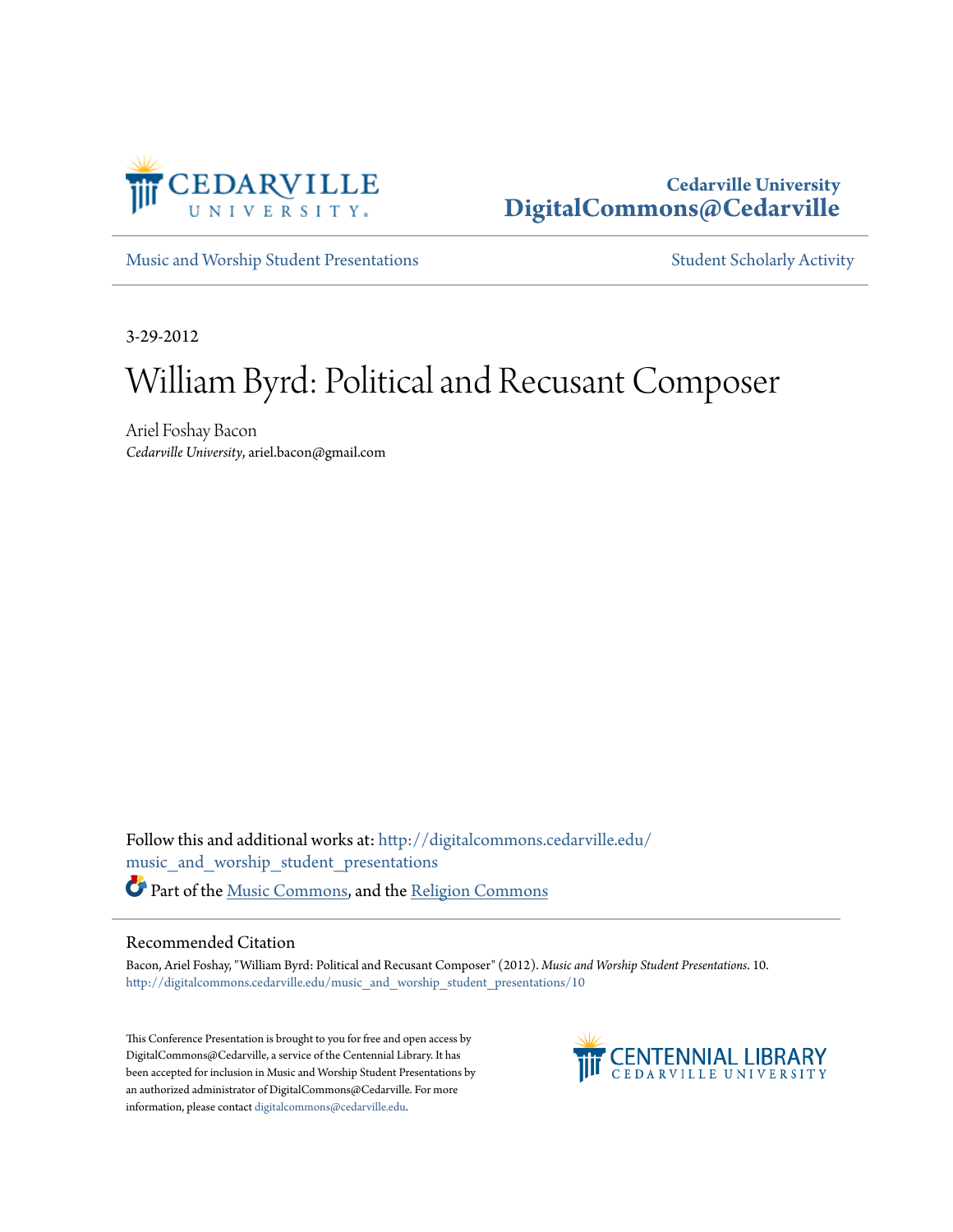

## **Cedarville University [DigitalCommons@Cedarville](http://digitalcommons.cedarville.edu?utm_source=digitalcommons.cedarville.edu%2Fmusic_and_worship_student_presentations%2F10&utm_medium=PDF&utm_campaign=PDFCoverPages)**

[Music and Worship Student Presentations](http://digitalcommons.cedarville.edu/music_and_worship_student_presentations?utm_source=digitalcommons.cedarville.edu%2Fmusic_and_worship_student_presentations%2F10&utm_medium=PDF&utm_campaign=PDFCoverPages) [Student Scholarly Activity](http://digitalcommons.cedarville.edu/music_student_scholarly_activity?utm_source=digitalcommons.cedarville.edu%2Fmusic_and_worship_student_presentations%2F10&utm_medium=PDF&utm_campaign=PDFCoverPages)

3-29-2012

# William Byrd: Political and Recusant Composer

Ariel Foshay Bacon *Cedarville University*, ariel.bacon@gmail.com

Follow this and additional works at: [http://digitalcommons.cedarville.edu/](http://digitalcommons.cedarville.edu/music_and_worship_student_presentations?utm_source=digitalcommons.cedarville.edu%2Fmusic_and_worship_student_presentations%2F10&utm_medium=PDF&utm_campaign=PDFCoverPages) [music\\_and\\_worship\\_student\\_presentations](http://digitalcommons.cedarville.edu/music_and_worship_student_presentations?utm_source=digitalcommons.cedarville.edu%2Fmusic_and_worship_student_presentations%2F10&utm_medium=PDF&utm_campaign=PDFCoverPages) Part of the [Music Commons](http://network.bepress.com/hgg/discipline/518?utm_source=digitalcommons.cedarville.edu%2Fmusic_and_worship_student_presentations%2F10&utm_medium=PDF&utm_campaign=PDFCoverPages), and the [Religion Commons](http://network.bepress.com/hgg/discipline/538?utm_source=digitalcommons.cedarville.edu%2Fmusic_and_worship_student_presentations%2F10&utm_medium=PDF&utm_campaign=PDFCoverPages)

#### Recommended Citation

Bacon, Ariel Foshay, "William Byrd: Political and Recusant Composer" (2012). *Music and Worship Student Presentations*. 10. [http://digitalcommons.cedarville.edu/music\\_and\\_worship\\_student\\_presentations/10](http://digitalcommons.cedarville.edu/music_and_worship_student_presentations/10?utm_source=digitalcommons.cedarville.edu%2Fmusic_and_worship_student_presentations%2F10&utm_medium=PDF&utm_campaign=PDFCoverPages)

This Conference Presentation is brought to you for free and open access by DigitalCommons@Cedarville, a service of the Centennial Library. It has been accepted for inclusion in Music and Worship Student Presentations by an authorized administrator of DigitalCommons@Cedarville. For more information, please contact [digitalcommons@cedarville.edu.](mailto:digitalcommons@cedarville.edu)

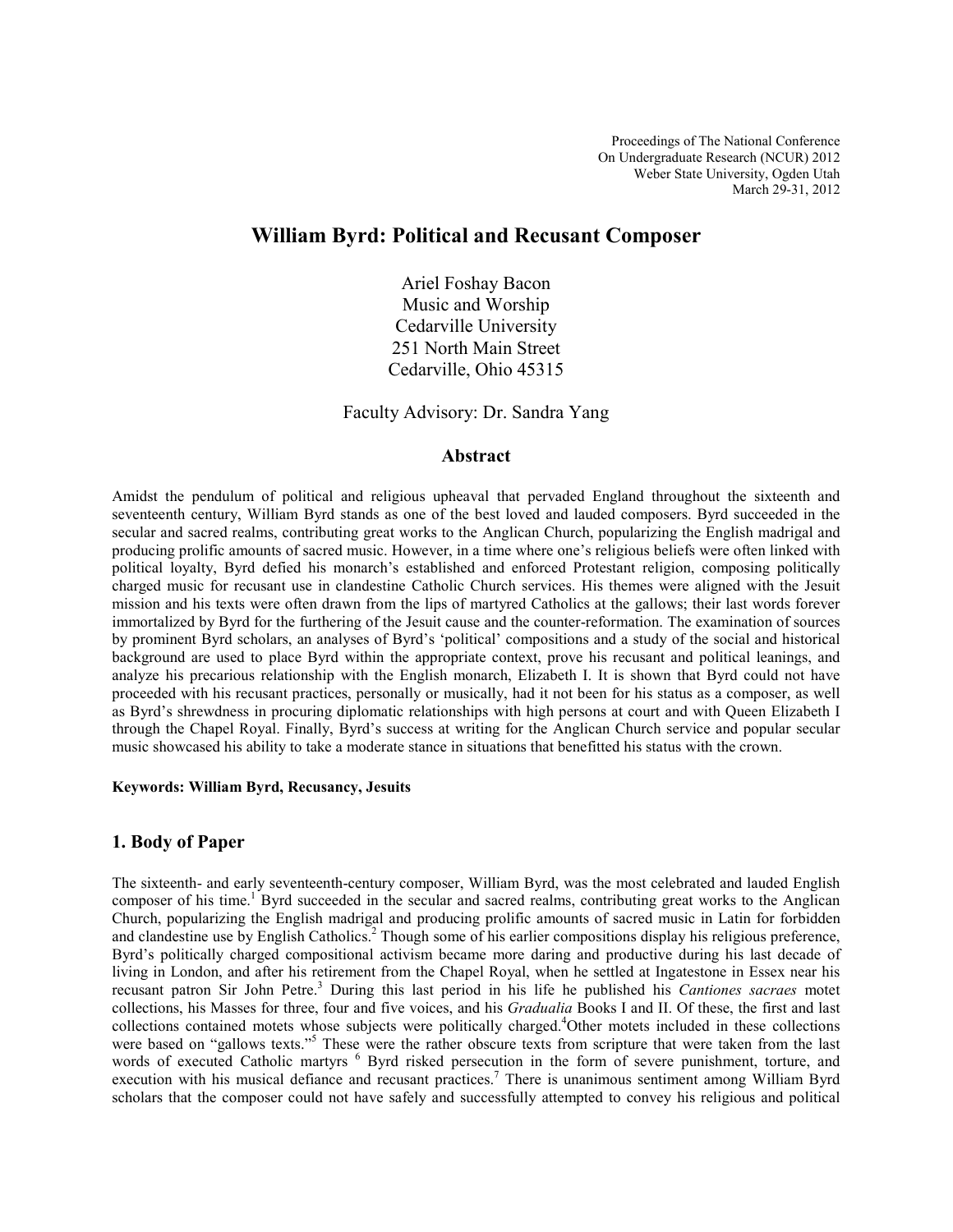Proceedings of The National Conference On Undergraduate Research (NCUR) 2012 Weber State University, Ogden Utah March 29-31, 2012

### William Byrd: Political and Recusant Composer

Ariel Foshay Bacon Music and Worship Cedarville University 251 North Main Street Cedarville, Ohio 45315

Faculty Advisory: Dr. Sandra Yang

#### Abstract

Amidst the pendulum of political and religious upheaval that pervaded England throughout the sixteenth and seventeenth century, William Byrd stands as one of the best loved and lauded composers. Byrd succeeded in the secular and sacred realms, contributing great works to the Anglican Church, popularizing the English madrigal and producing prolific amounts of sacred music. However, in a time where one's religious beliefs were often linked with political loyalty, Byrd defied his monarch's established and enforced Protestant religion, composing politically charged music for recusant use in clandestine Catholic Church services. His themes were aligned with the Jesuit mission and his texts were often drawn from the lips of martyred Catholics at the gallows; their last words forever immortalized by Byrd for the furthering of the Jesuit cause and the counter-reformation. The examination of sources by prominent Byrd scholars, an analyses of Byrd's 'political' compositions and a study of the social and historical background are used to place Byrd within the appropriate context, prove his recusant and political leanings, and analyze his precarious relationship with the English monarch, Elizabeth I. It is shown that Byrd could not have proceeded with his recusant practices, personally or musically, had it not been for his status as a composer, as well as Byrd's shrewdness in procuring diplomatic relationships with high persons at court and with Queen Elizabeth I through the Chapel Royal. Finally, Byrd's success at writing for the Anglican Church service and popular secular music showcased his ability to take a moderate stance in situations that benefitted his status with the crown.

#### Keywords: William Byrd, Recusancy, Jesuits

#### 1. Body of Paper

The sixteenth- and early seventeenth-century composer, William Byrd, was the most celebrated and lauded English composer of his time.<sup>1</sup> Byrd succeeded in the secular and sacred realms, contributing great works to the Anglican Church, popularizing the English madrigal and producing prolific amounts of sacred music in Latin for forbidden and clandestine use by English Catholics.<sup>2</sup> Though some of his earlier compositions display his religious preference, Byrd's politically charged compositional activism became more daring and productive during his last decade of living in London, and after his retirement from the Chapel Royal, when he settled at Ingatestone in Essex near his recusant patron Sir John Petre.<sup>3</sup> During this last period in his life he published his *Cantiones sacraes* motet collections, his Masses for three, four and five voices, and his *Gradualia* Books I and II. Of these, the first and last collections contained motets whose subjects were politically charged.<sup>4</sup>Other motets included in these collections were based on "gallows texts."<sup>5</sup> These were the rather obscure texts from scripture that were taken from the last words of executed Catholic martyrs <sup>6</sup> Byrd risked persecution in the form of severe punishment, torture, and execution with his musical defiance and recusant practices.<sup>7</sup> There is unanimous sentiment among William Byrd scholars that the composer could not have safely and successfully attempted to convey his religious and political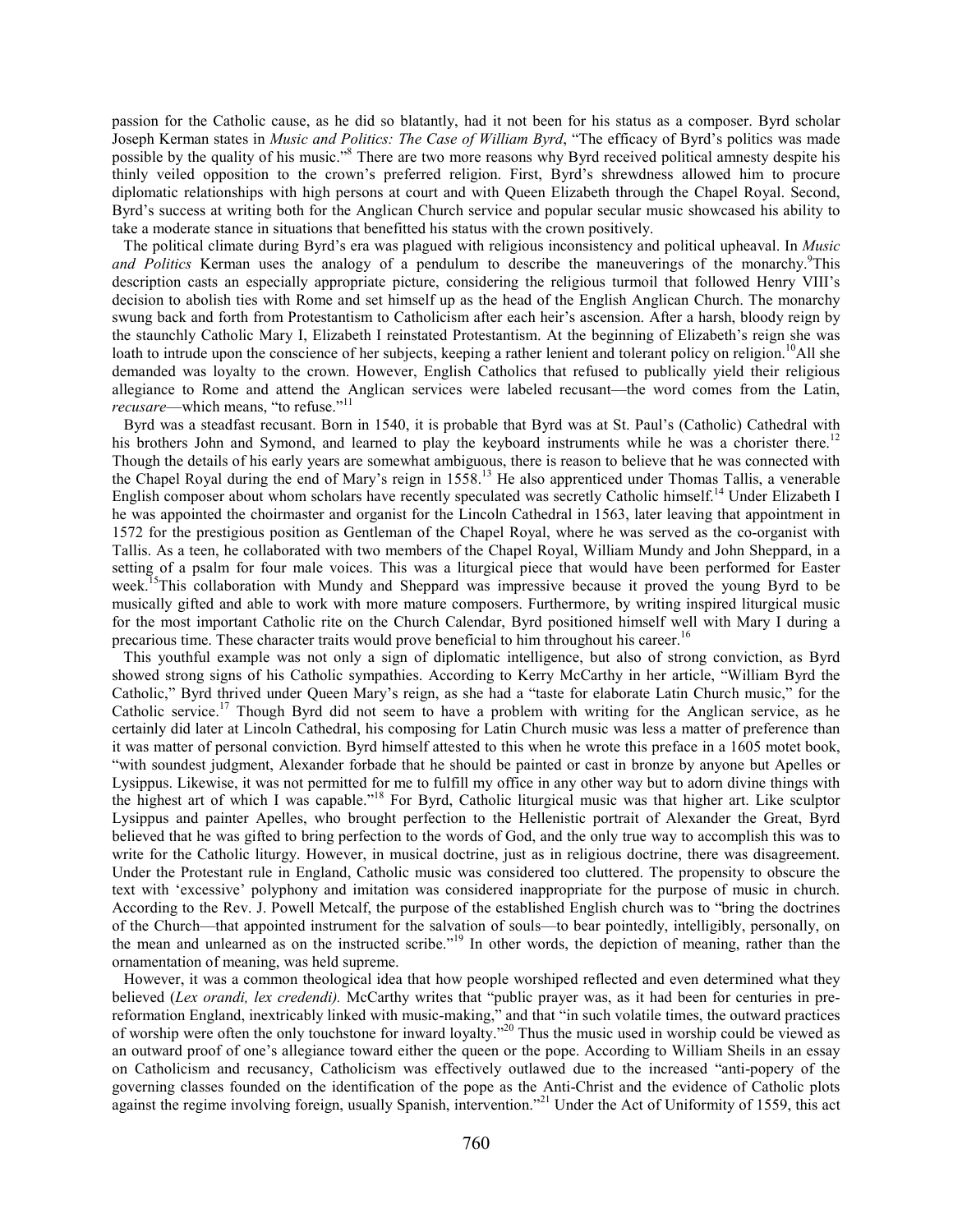passion for the Catholic cause, as he did so blatantly, had it not been for his status as a composer. Byrd scholar Joseph Kerman states in *Music and Politics: The Case of William Byrd*, "The efficacy of Byrd's politics was made possible by the quality of his music."<sup>8</sup> There are two more reasons why Byrd received political amnesty despite his thinly veiled opposition to the crown's preferred religion. First, Byrd's shrewdness allowed him to procure diplomatic relationships with high persons at court and with Queen Elizabeth through the Chapel Royal. Second, Byrd's success at writing both for the Anglican Church service and popular secular music showcased his ability to take a moderate stance in situations that benefitted his status with the crown positively.

 The political climate during Byrd's era was plagued with religious inconsistency and political upheaval. In *Music and Politics* Kerman uses the analogy of a pendulum to describe the maneuverings of the monarchy.<sup>9</sup>This description casts an especially appropriate picture, considering the religious turmoil that followed Henry VIII's decision to abolish ties with Rome and set himself up as the head of the English Anglican Church. The monarchy swung back and forth from Protestantism to Catholicism after each heir's ascension. After a harsh, bloody reign by the staunchly Catholic Mary I, Elizabeth I reinstated Protestantism. At the beginning of Elizabeth's reign she was loath to intrude upon the conscience of her subjects, keeping a rather lenient and tolerant policy on religion.<sup>10</sup>All she demanded was loyalty to the crown. However, English Catholics that refused to publically yield their religious allegiance to Rome and attend the Anglican services were labeled recusant—the word comes from the Latin, *recusare*—which means, "to refuse."<sup>11</sup>

 Byrd was a steadfast recusant. Born in 1540, it is probable that Byrd was at St. Paul's (Catholic) Cathedral with his brothers John and Symond, and learned to play the keyboard instruments while he was a chorister there.<sup>12</sup> Though the details of his early years are somewhat ambiguous, there is reason to believe that he was connected with the Chapel Royal during the end of Mary's reign in 1558.<sup>13</sup> He also apprenticed under Thomas Tallis, a venerable English composer about whom scholars have recently speculated was secretly Catholic himself.<sup>14</sup> Under Elizabeth I he was appointed the choirmaster and organist for the Lincoln Cathedral in 1563, later leaving that appointment in 1572 for the prestigious position as Gentleman of the Chapel Royal, where he was served as the co-organist with Tallis. As a teen, he collaborated with two members of the Chapel Royal, William Mundy and John Sheppard, in a setting of a psalm for four male voices. This was a liturgical piece that would have been performed for Easter week.<sup>15</sup>This collaboration with Mundy and Sheppard was impressive because it proved the young Byrd to be musically gifted and able to work with more mature composers. Furthermore, by writing inspired liturgical music for the most important Catholic rite on the Church Calendar, Byrd positioned himself well with Mary I during a precarious time. These character traits would prove beneficial to him throughout his career.<sup>16</sup>

 This youthful example was not only a sign of diplomatic intelligence, but also of strong conviction, as Byrd showed strong signs of his Catholic sympathies. According to Kerry McCarthy in her article, "William Byrd the Catholic," Byrd thrived under Queen Mary's reign, as she had a "taste for elaborate Latin Church music," for the Catholic service.<sup>17</sup> Though Byrd did not seem to have a problem with writing for the Anglican service, as he certainly did later at Lincoln Cathedral, his composing for Latin Church music was less a matter of preference than it was matter of personal conviction. Byrd himself attested to this when he wrote this preface in a 1605 motet book, "with soundest judgment, Alexander forbade that he should be painted or cast in bronze by anyone but Apelles or Lysippus. Likewise, it was not permitted for me to fulfill my office in any other way but to adorn divine things with the highest art of which I was capable."<sup>18</sup> For Byrd, Catholic liturgical music was that higher art. Like sculptor Lysippus and painter Apelles, who brought perfection to the Hellenistic portrait of Alexander the Great, Byrd believed that he was gifted to bring perfection to the words of God, and the only true way to accomplish this was to write for the Catholic liturgy. However, in musical doctrine, just as in religious doctrine, there was disagreement. Under the Protestant rule in England, Catholic music was considered too cluttered. The propensity to obscure the text with 'excessive' polyphony and imitation was considered inappropriate for the purpose of music in church. According to the Rev. J. Powell Metcalf, the purpose of the established English church was to "bring the doctrines of the Church—that appointed instrument for the salvation of souls—to bear pointedly, intelligibly, personally, on the mean and unlearned as on the instructed scribe."<sup>19</sup> In other words, the depiction of meaning, rather than the ornamentation of meaning, was held supreme.

 However, it was a common theological idea that how people worshiped reflected and even determined what they believed (*Lex orandi, lex credendi).* McCarthy writes that "public prayer was, as it had been for centuries in prereformation England, inextricably linked with music-making," and that "in such volatile times, the outward practices of worship were often the only touchstone for inward loyalty."<sup>20</sup> Thus the music used in worship could be viewed as an outward proof of one's allegiance toward either the queen or the pope. According to William Sheils in an essay on Catholicism and recusancy, Catholicism was effectively outlawed due to the increased "anti-popery of the governing classes founded on the identification of the pope as the Anti-Christ and the evidence of Catholic plots against the regime involving foreign, usually Spanish, intervention."<sup>21</sup> Under the Act of Uniformity of 1559, this act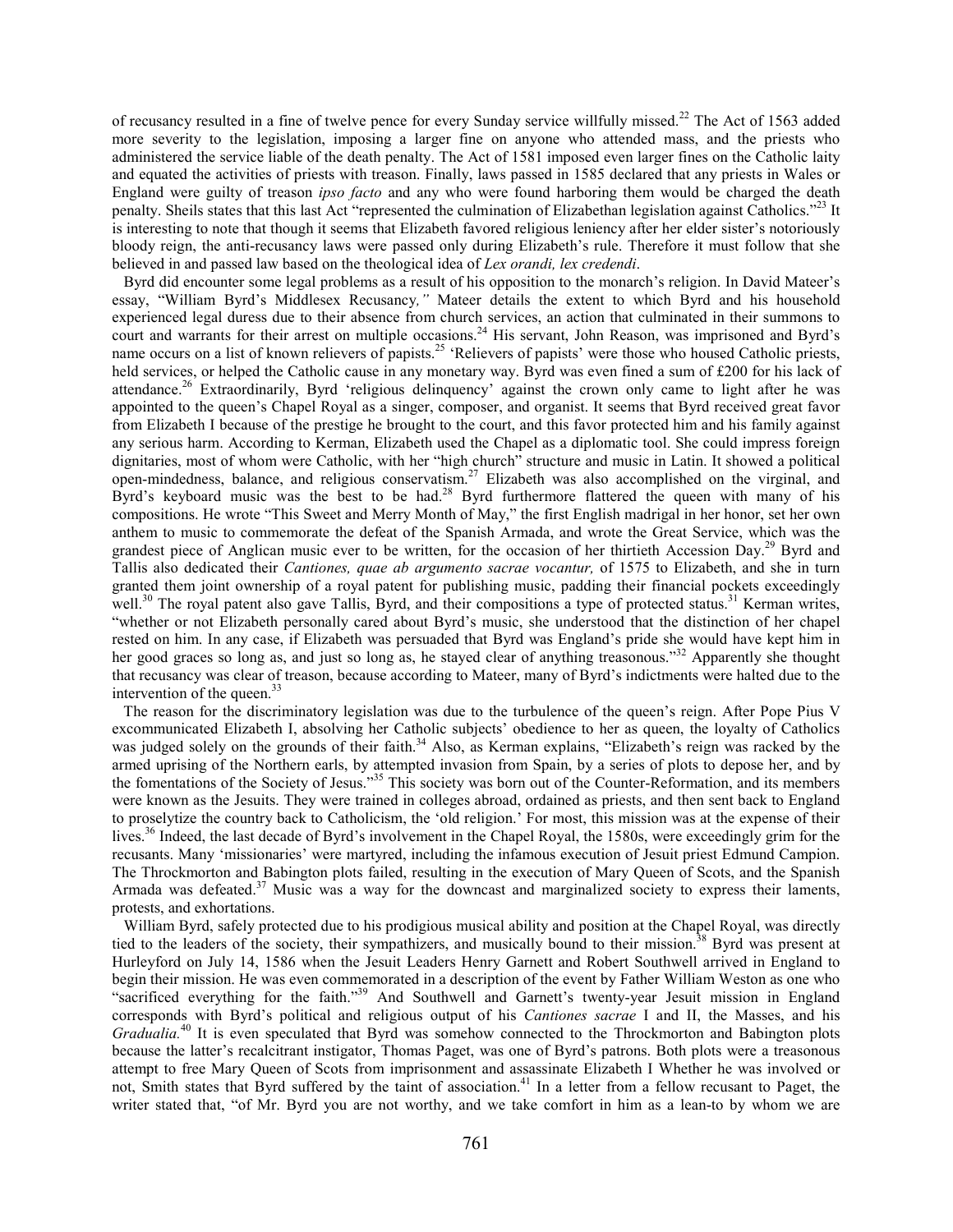of recusancy resulted in a fine of twelve pence for every Sunday service willfully missed.<sup>22</sup> The Act of 1563 added more severity to the legislation, imposing a larger fine on anyone who attended mass, and the priests who administered the service liable of the death penalty. The Act of 1581 imposed even larger fines on the Catholic laity and equated the activities of priests with treason. Finally, laws passed in 1585 declared that any priests in Wales or England were guilty of treason *ipso facto* and any who were found harboring them would be charged the death penalty. Sheils states that this last Act "represented the culmination of Elizabethan legislation against Catholics."<sup>23</sup> It is interesting to note that though it seems that Elizabeth favored religious leniency after her elder sister's notoriously bloody reign, the anti-recusancy laws were passed only during Elizabeth's rule. Therefore it must follow that she believed in and passed law based on the theological idea of *Lex orandi, lex credendi*.

 Byrd did encounter some legal problems as a result of his opposition to the monarch's religion. In David Mateer's essay, "William Byrd's Middlesex Recusancy*,"* Mateer details the extent to which Byrd and his household experienced legal duress due to their absence from church services, an action that culminated in their summons to court and warrants for their arrest on multiple occasions.<sup>24</sup> His servant, John Reason, was imprisoned and Byrd's name occurs on a list of known relievers of papists.<sup>25</sup> 'Relievers of papists' were those who housed Catholic priests, held services, or helped the Catholic cause in any monetary way. Byrd was even fined a sum of £200 for his lack of attendance.<sup>26</sup> Extraordinarily, Byrd 'religious delinquency' against the crown only came to light after he was appointed to the queen's Chapel Royal as a singer, composer, and organist. It seems that Byrd received great favor from Elizabeth I because of the prestige he brought to the court, and this favor protected him and his family against any serious harm. According to Kerman, Elizabeth used the Chapel as a diplomatic tool. She could impress foreign dignitaries, most of whom were Catholic, with her "high church" structure and music in Latin. It showed a political open-mindedness, balance, and religious conservatism.<sup>27</sup> Elizabeth was also accomplished on the virginal, and Byrd's keyboard music was the best to be had.<sup>28</sup> Byrd furthermore flattered the queen with many of his compositions. He wrote "This Sweet and Merry Month of May," the first English madrigal in her honor, set her own anthem to music to commemorate the defeat of the Spanish Armada, and wrote the Great Service, which was the grandest piece of Anglican music ever to be written, for the occasion of her thirtieth Accession Day.<sup>29</sup> Byrd and Tallis also dedicated their *Cantiones, quae ab argumento sacrae vocantur,* of 1575 to Elizabeth, and she in turn granted them joint ownership of a royal patent for publishing music, padding their financial pockets exceedingly well.<sup>30</sup> The royal patent also gave Tallis, Byrd, and their compositions a type of protected status.<sup>31</sup> Kerman writes, "whether or not Elizabeth personally cared about Byrd's music, she understood that the distinction of her chapel rested on him. In any case, if Elizabeth was persuaded that Byrd was England's pride she would have kept him in her good graces so long as, and just so long as, he stayed clear of anything treasonous."<sup>32</sup> Apparently she thought that recusancy was clear of treason, because according to Mateer, many of Byrd's indictments were halted due to the intervention of the queen.<sup>33</sup>

 The reason for the discriminatory legislation was due to the turbulence of the queen's reign. After Pope Pius V excommunicated Elizabeth I, absolving her Catholic subjects' obedience to her as queen, the loyalty of Catholics was judged solely on the grounds of their faith.<sup>34</sup> Also, as Kerman explains, "Elizabeth's reign was racked by the armed uprising of the Northern earls, by attempted invasion from Spain, by a series of plots to depose her, and by the fomentations of the Society of Jesus."<sup>35</sup> This society was born out of the Counter-Reformation, and its members were known as the Jesuits. They were trained in colleges abroad, ordained as priests, and then sent back to England to proselytize the country back to Catholicism, the 'old religion.' For most, this mission was at the expense of their lives.<sup>36</sup> Indeed, the last decade of Byrd's involvement in the Chapel Royal, the 1580s, were exceedingly grim for the recusants. Many 'missionaries' were martyred, including the infamous execution of Jesuit priest Edmund Campion. The Throckmorton and Babington plots failed, resulting in the execution of Mary Queen of Scots, and the Spanish Armada was defeated.<sup>37</sup> Music was a way for the downcast and marginalized society to express their laments, protests, and exhortations.

William Byrd, safely protected due to his prodigious musical ability and position at the Chapel Royal, was directly tied to the leaders of the society, their sympathizers, and musically bound to their mission.<sup>38</sup> Byrd was present at Hurleyford on July 14, 1586 when the Jesuit Leaders Henry Garnett and Robert Southwell arrived in England to begin their mission. He was even commemorated in a description of the event by Father William Weston as one who "sacrificed everything for the faith."<sup>39</sup> And Southwell and Garnett's twenty-year Jesuit mission in England corresponds with Byrd's political and religious output of his *Cantiones sacrae* I and II, the Masses, and his *Gradualia.*<sup>40</sup> It is even speculated that Byrd was somehow connected to the Throckmorton and Babington plots because the latter's recalcitrant instigator, Thomas Paget, was one of Byrd's patrons. Both plots were a treasonous attempt to free Mary Queen of Scots from imprisonment and assassinate Elizabeth I Whether he was involved or not, Smith states that Byrd suffered by the taint of association.<sup>41</sup> In a letter from a fellow recusant to Paget, the writer stated that, "of Mr. Byrd you are not worthy, and we take comfort in him as a lean-to by whom we are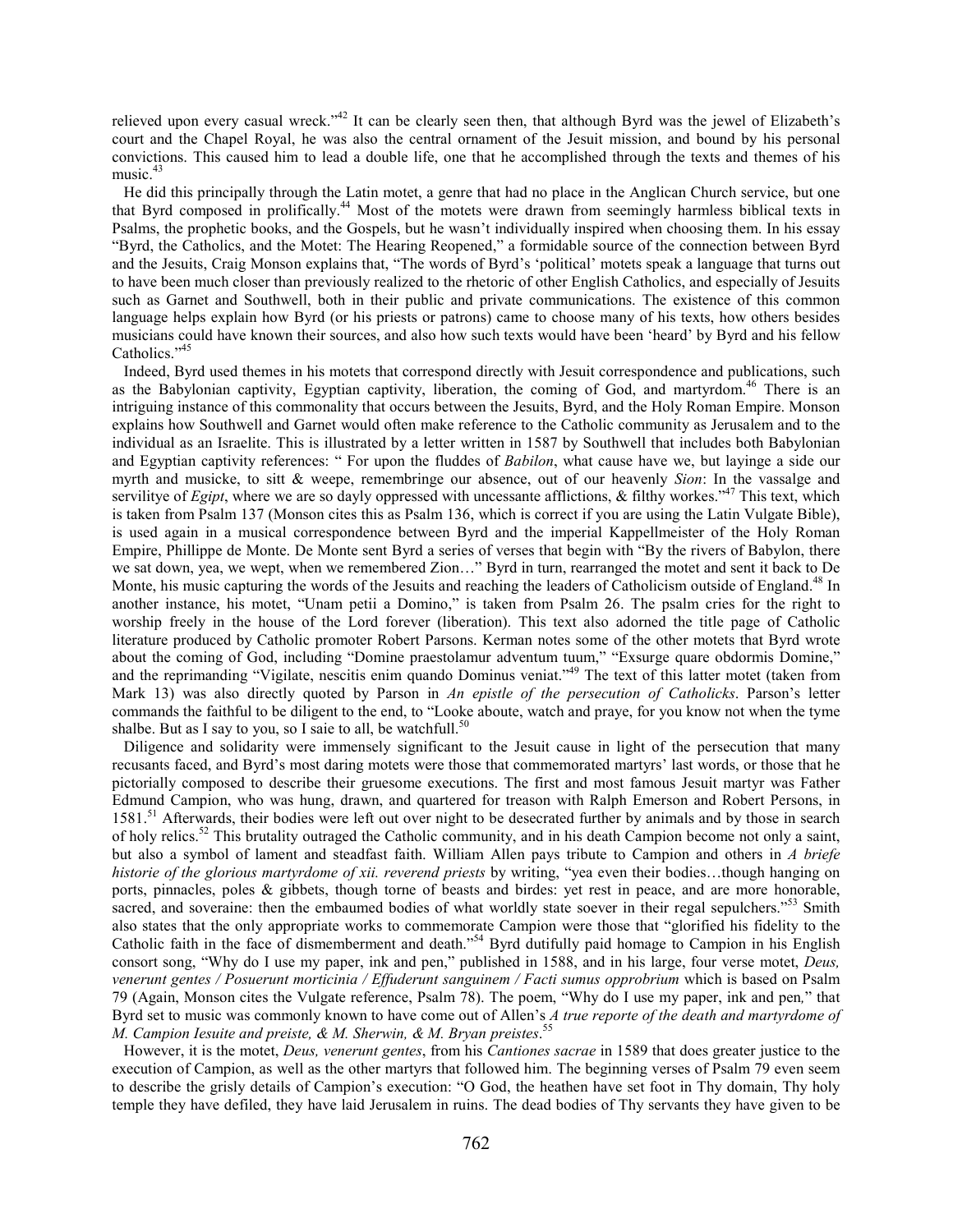relieved upon every casual wreck."<sup>42</sup> It can be clearly seen then, that although Byrd was the jewel of Elizabeth's court and the Chapel Royal, he was also the central ornament of the Jesuit mission, and bound by his personal convictions. This caused him to lead a double life, one that he accomplished through the texts and themes of his music. $43$ 

 He did this principally through the Latin motet, a genre that had no place in the Anglican Church service, but one that Byrd composed in prolifically.<sup>44</sup> Most of the motets were drawn from seemingly harmless biblical texts in Psalms, the prophetic books, and the Gospels, but he wasn't individually inspired when choosing them. In his essay "Byrd, the Catholics, and the Motet: The Hearing Reopened," a formidable source of the connection between Byrd and the Jesuits, Craig Monson explains that, "The words of Byrd's 'political' motets speak a language that turns out to have been much closer than previously realized to the rhetoric of other English Catholics, and especially of Jesuits such as Garnet and Southwell, both in their public and private communications. The existence of this common language helps explain how Byrd (or his priests or patrons) came to choose many of his texts, how others besides musicians could have known their sources, and also how such texts would have been 'heard' by Byrd and his fellow Catholics."<sup>45</sup>

 Indeed, Byrd used themes in his motets that correspond directly with Jesuit correspondence and publications, such as the Babylonian captivity, Egyptian captivity, liberation, the coming of God, and martyrdom.<sup>46</sup> There is an intriguing instance of this commonality that occurs between the Jesuits, Byrd, and the Holy Roman Empire. Monson explains how Southwell and Garnet would often make reference to the Catholic community as Jerusalem and to the individual as an Israelite. This is illustrated by a letter written in 1587 by Southwell that includes both Babylonian and Egyptian captivity references: " For upon the fluddes of *Babilon*, what cause have we, but layinge a side our myrth and musicke, to sitt & weepe, remembringe our absence, out of our heavenly *Sion*: In the vassalge and servilitye of *Egipt*, where we are so dayly oppressed with uncessante afflictions, & filthy workes."<sup>47</sup> This text, which is taken from Psalm 137 (Monson cites this as Psalm 136, which is correct if you are using the Latin Vulgate Bible), is used again in a musical correspondence between Byrd and the imperial Kappellmeister of the Holy Roman Empire, Phillippe de Monte. De Monte sent Byrd a series of verses that begin with "By the rivers of Babylon, there we sat down, yea, we wept, when we remembered Zion…" Byrd in turn, rearranged the motet and sent it back to De Monte, his music capturing the words of the Jesuits and reaching the leaders of Catholicism outside of England.<sup>48</sup> In another instance, his motet, "Unam petii a Domino," is taken from Psalm 26. The psalm cries for the right to worship freely in the house of the Lord forever (liberation). This text also adorned the title page of Catholic literature produced by Catholic promoter Robert Parsons. Kerman notes some of the other motets that Byrd wrote about the coming of God, including "Domine praestolamur adventum tuum," "Exsurge quare obdormis Domine," and the reprimanding "Vigilate, nescitis enim quando Dominus veniat."<sup>49</sup> The text of this latter motet (taken from Mark 13) was also directly quoted by Parson in *An epistle of the persecution of Catholicks*. Parson's letter commands the faithful to be diligent to the end, to "Looke aboute, watch and praye, for you know not when the tyme shalbe. But as I say to you, so I saie to all, be watchfull.<sup>50</sup>

 Diligence and solidarity were immensely significant to the Jesuit cause in light of the persecution that many recusants faced, and Byrd's most daring motets were those that commemorated martyrs' last words, or those that he pictorially composed to describe their gruesome executions. The first and most famous Jesuit martyr was Father Edmund Campion, who was hung, drawn, and quartered for treason with Ralph Emerson and Robert Persons, in 1581.<sup>51</sup> Afterwards, their bodies were left out over night to be desecrated further by animals and by those in search of holy relics.<sup>52</sup> This brutality outraged the Catholic community, and in his death Campion become not only a saint, but also a symbol of lament and steadfast faith. William Allen pays tribute to Campion and others in *A briefe historie of the glorious martyrdome of xii. reverend priests* by writing, "yea even their bodies…though hanging on ports, pinnacles, poles & gibbets, though torne of beasts and birdes: yet rest in peace, and are more honorable, sacred, and soveraine: then the embaumed bodies of what worldly state soever in their regal sepulchers."<sup>53</sup> Smith also states that the only appropriate works to commemorate Campion were those that "glorified his fidelity to the Catholic faith in the face of dismemberment and death."<sup>54</sup> Byrd dutifully paid homage to Campion in his English consort song, "Why do I use my paper, ink and pen," published in 1588, and in his large, four verse motet, *Deus, venerunt gentes / Posuerunt morticinia / Effuderunt sanguinem / Facti sumus opprobrium* which is based on Psalm 79 (Again, Monson cites the Vulgate reference, Psalm 78). The poem, "Why do I use my paper, ink and pen*,*" that Byrd set to music was commonly known to have come out of Allen's *A true reporte of the death and martyrdome of M. Campion Iesuite and preiste, & M. Sherwin, & M. Bryan preistes*. 55

 However, it is the motet, *Deus, venerunt gentes*, from his *Cantiones sacrae* in 1589 that does greater justice to the execution of Campion, as well as the other martyrs that followed him. The beginning verses of Psalm 79 even seem to describe the grisly details of Campion's execution: "O God, the heathen have set foot in Thy domain, Thy holy temple they have defiled, they have laid Jerusalem in ruins. The dead bodies of Thy servants they have given to be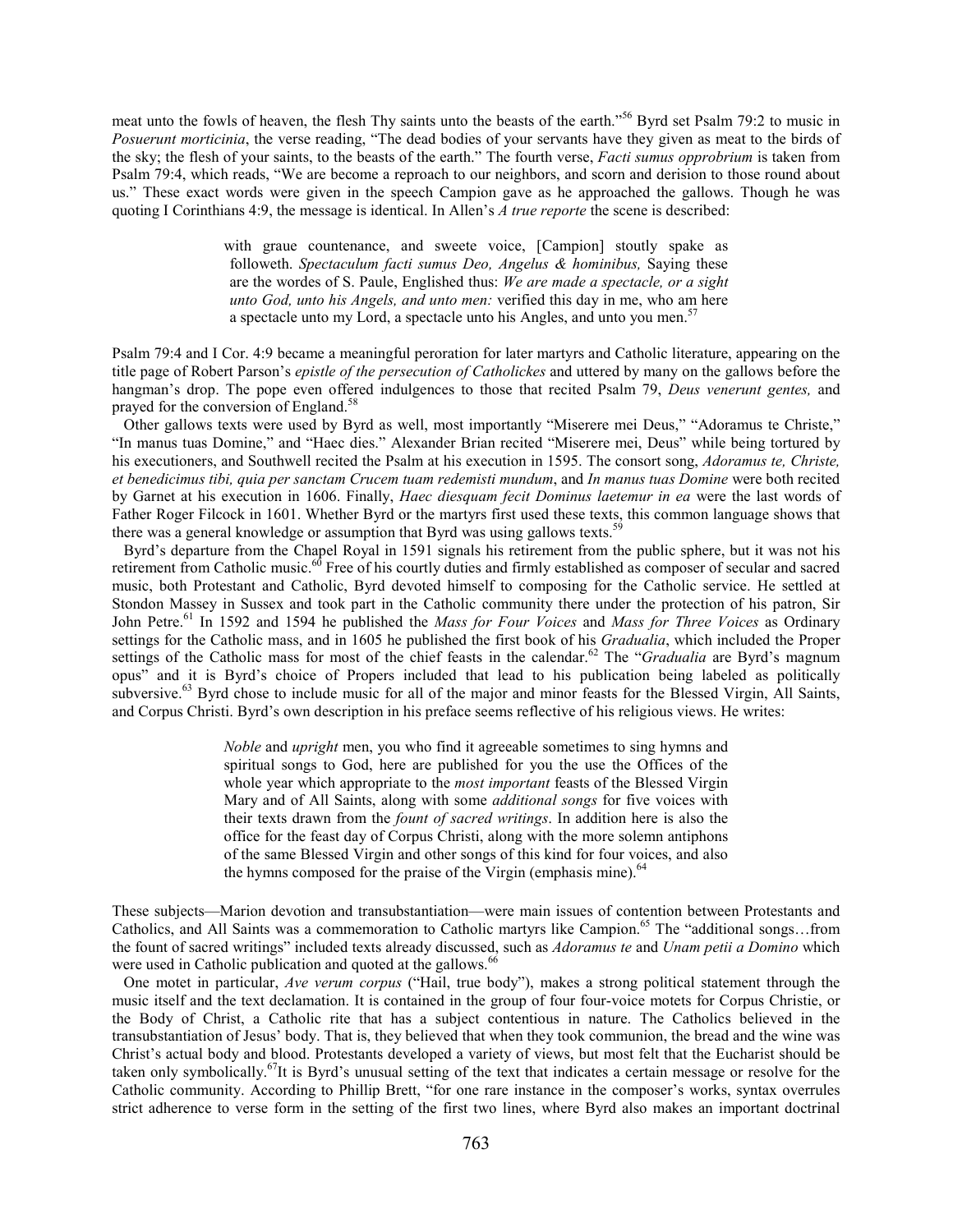meat unto the fowls of heaven, the flesh Thy saints unto the beasts of the earth."<sup>56</sup> Byrd set Psalm 79:2 to music in *Posuerunt morticinia*, the verse reading, "The dead bodies of your servants have they given as meat to the birds of the sky; the flesh of your saints, to the beasts of the earth." The fourth verse, *Facti sumus opprobrium* is taken from Psalm 79:4, which reads, "We are become a reproach to our neighbors, and scorn and derision to those round about us." These exact words were given in the speech Campion gave as he approached the gallows. Though he was quoting I Corinthians 4:9, the message is identical. In Allen's *A true reporte* the scene is described:

> with graue countenance, and sweete voice, [Campion] stoutly spake as followeth. *Spectaculum facti sumus Deo, Angelus & hominibus,* Saying these are the wordes of S. Paule, Englished thus: *We are made a spectacle, or a sight unto God, unto his Angels, and unto men:* verified this day in me, who am here a spectacle unto my Lord, a spectacle unto his Angles, and unto you men.<sup>57</sup>

Psalm 79:4 and I Cor. 4:9 became a meaningful peroration for later martyrs and Catholic literature, appearing on the title page of Robert Parson's *epistle of the persecution of Catholickes* and uttered by many on the gallows before the hangman's drop. The pope even offered indulgences to those that recited Psalm 79, *Deus venerunt gentes,* and prayed for the conversion of England.<sup>58</sup>

 Other gallows texts were used by Byrd as well, most importantly "Miserere mei Deus," "Adoramus te Christe," "In manus tuas Domine," and "Haec dies." Alexander Brian recited "Miserere mei, Deus" while being tortured by his executioners, and Southwell recited the Psalm at his execution in 1595. The consort song, *Adoramus te, Christe, et benedicimus tibi, quia per sanctam Crucem tuam redemisti mundum*, and *In manus tuas Domine* were both recited by Garnet at his execution in 1606. Finally, *Haec diesquam fecit Dominus laetemur in ea* were the last words of Father Roger Filcock in 1601. Whether Byrd or the martyrs first used these texts, this common language shows that there was a general knowledge or assumption that Byrd was using gallows texts.<sup>59</sup>

 Byrd's departure from the Chapel Royal in 1591 signals his retirement from the public sphere, but it was not his retirement from Catholic music.<sup>60</sup> Free of his courtly duties and firmly established as composer of secular and sacred music, both Protestant and Catholic, Byrd devoted himself to composing for the Catholic service. He settled at Stondon Massey in Sussex and took part in the Catholic community there under the protection of his patron, Sir John Petre.<sup>61</sup> In 1592 and 1594 he published the *Mass for Four Voices* and *Mass for Three Voices* as Ordinary settings for the Catholic mass, and in 1605 he published the first book of his *Gradualia*, which included the Proper settings of the Catholic mass for most of the chief feasts in the calendar.<sup>62</sup> The "*Gradualia* are Byrd's magnum opus" and it is Byrd's choice of Propers included that lead to his publication being labeled as politically subversive.<sup>63</sup> Byrd chose to include music for all of the major and minor feasts for the Blessed Virgin, All Saints, and Corpus Christi. Byrd's own description in his preface seems reflective of his religious views. He writes:

> *Noble* and *upright* men, you who find it agreeable sometimes to sing hymns and spiritual songs to God, here are published for you the use the Offices of the whole year which appropriate to the *most important* feasts of the Blessed Virgin Mary and of All Saints, along with some *additional songs* for five voices with their texts drawn from the *fount of sacred writings*. In addition here is also the office for the feast day of Corpus Christi, along with the more solemn antiphons of the same Blessed Virgin and other songs of this kind for four voices, and also the hymns composed for the praise of the Virgin (emphasis mine).<sup>64</sup>

These subjects—Marion devotion and transubstantiation—were main issues of contention between Protestants and Catholics, and All Saints was a commemoration to Catholic martyrs like Campion.<sup>65</sup> The "additional songs…from the fount of sacred writings" included texts already discussed, such as *Adoramus te* and *Unam petii a Domino* which were used in Catholic publication and quoted at the gallows.<sup>6</sup>

 One motet in particular, *Ave verum corpus* ("Hail, true body"), makes a strong political statement through the music itself and the text declamation. It is contained in the group of four four-voice motets for Corpus Christie, or the Body of Christ, a Catholic rite that has a subject contentious in nature. The Catholics believed in the transubstantiation of Jesus' body. That is, they believed that when they took communion, the bread and the wine was Christ's actual body and blood. Protestants developed a variety of views, but most felt that the Eucharist should be taken only symbolically.<sup>67</sup>It is Byrd's unusual setting of the text that indicates a certain message or resolve for the Catholic community. According to Phillip Brett, "for one rare instance in the composer's works, syntax overrules strict adherence to verse form in the setting of the first two lines, where Byrd also makes an important doctrinal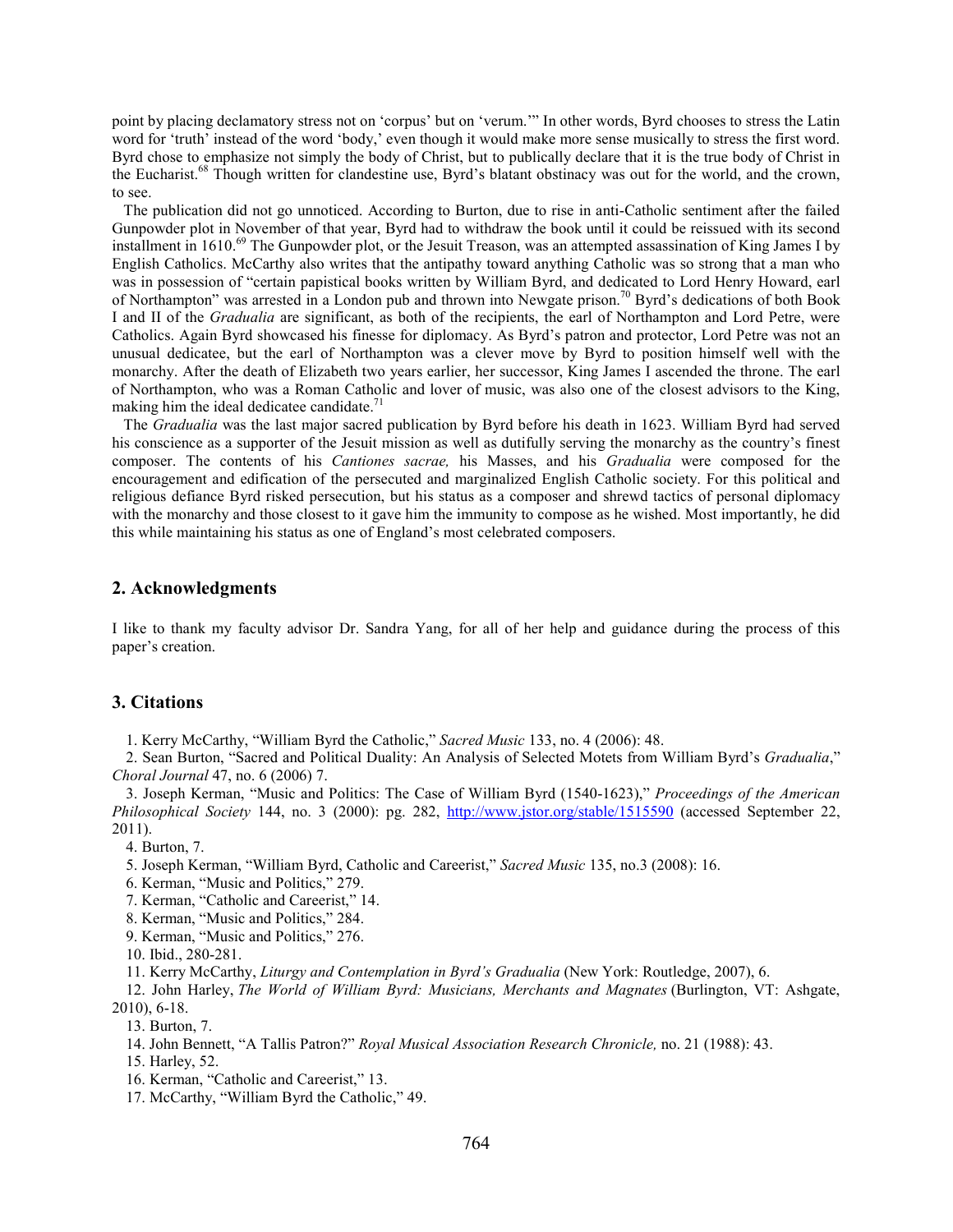point by placing declamatory stress not on 'corpus' but on 'verum.'" In other words, Byrd chooses to stress the Latin word for 'truth' instead of the word 'body,' even though it would make more sense musically to stress the first word. Byrd chose to emphasize not simply the body of Christ, but to publically declare that it is the true body of Christ in the Eucharist.<sup>68</sup> Though written for clandestine use, Byrd's blatant obstinacy was out for the world, and the crown, to see.

 The publication did not go unnoticed. According to Burton, due to rise in anti-Catholic sentiment after the failed Gunpowder plot in November of that year, Byrd had to withdraw the book until it could be reissued with its second installment in 1610.<sup>69</sup> The Gunpowder plot, or the Jesuit Treason, was an attempted assassination of King James I by English Catholics. McCarthy also writes that the antipathy toward anything Catholic was so strong that a man who was in possession of "certain papistical books written by William Byrd, and dedicated to Lord Henry Howard, earl of Northampton" was arrested in a London pub and thrown into Newgate prison.<sup>70</sup> Byrd's dedications of both Book I and II of the *Gradualia* are significant, as both of the recipients, the earl of Northampton and Lord Petre, were Catholics. Again Byrd showcased his finesse for diplomacy. As Byrd's patron and protector, Lord Petre was not an unusual dedicatee, but the earl of Northampton was a clever move by Byrd to position himself well with the monarchy. After the death of Elizabeth two years earlier, her successor, King James I ascended the throne. The earl of Northampton, who was a Roman Catholic and lover of music, was also one of the closest advisors to the King, making him the ideal dedicatee candidate. $11$ 

 The *Gradualia* was the last major sacred publication by Byrd before his death in 1623. William Byrd had served his conscience as a supporter of the Jesuit mission as well as dutifully serving the monarchy as the country's finest composer. The contents of his *Cantiones sacrae,* his Masses, and his *Gradualia* were composed for the encouragement and edification of the persecuted and marginalized English Catholic society. For this political and religious defiance Byrd risked persecution, but his status as a composer and shrewd tactics of personal diplomacy with the monarchy and those closest to it gave him the immunity to compose as he wished. Most importantly, he did this while maintaining his status as one of England's most celebrated composers.

#### 2. Acknowledgments

I like to thank my faculty advisor Dr. Sandra Yang, for all of her help and guidance during the process of this paper's creation.

#### 3. Citations

1. Kerry McCarthy, "William Byrd the Catholic," *Sacred Music* 133, no. 4 (2006): 48.

2. Sean Burton, "Sacred and Political Duality: An Analysis of Selected Motets from William Byrd's *Gradualia*," *Choral Journal* 47, no. 6 (2006) 7.

3. Joseph Kerman, "Music and Politics: The Case of William Byrd (1540-1623)," *Proceedings of the American Philosophical Society* 144, no. 3 (2000): pg. 282, http://www.jstor.org/stable/1515590 (accessed September 22, 2011).

4. Burton, 7.

5. Joseph Kerman, "William Byrd, Catholic and Careerist," *Sacred Music* 135, no.3 (2008): 16.

6. Kerman, "Music and Politics," 279.

7. Kerman, "Catholic and Careerist," 14.

8. Kerman, "Music and Politics," 284.

9. Kerman, "Music and Politics," 276.

10. Ibid., 280-281.

11. Kerry McCarthy, *Liturgy and Contemplation in Byrd's Gradualia* (New York: Routledge, 2007), 6.

12. John Harley, *The World of William Byrd: Musicians, Merchants and Magnates* (Burlington, VT: Ashgate, 2010), 6-18.

13. Burton, 7.

14. John Bennett, "A Tallis Patron?" *Royal Musical Association Research Chronicle,* no. 21 (1988): 43.

15. Harley, 52.

16. Kerman, "Catholic and Careerist," 13.

17. McCarthy, "William Byrd the Catholic," 49.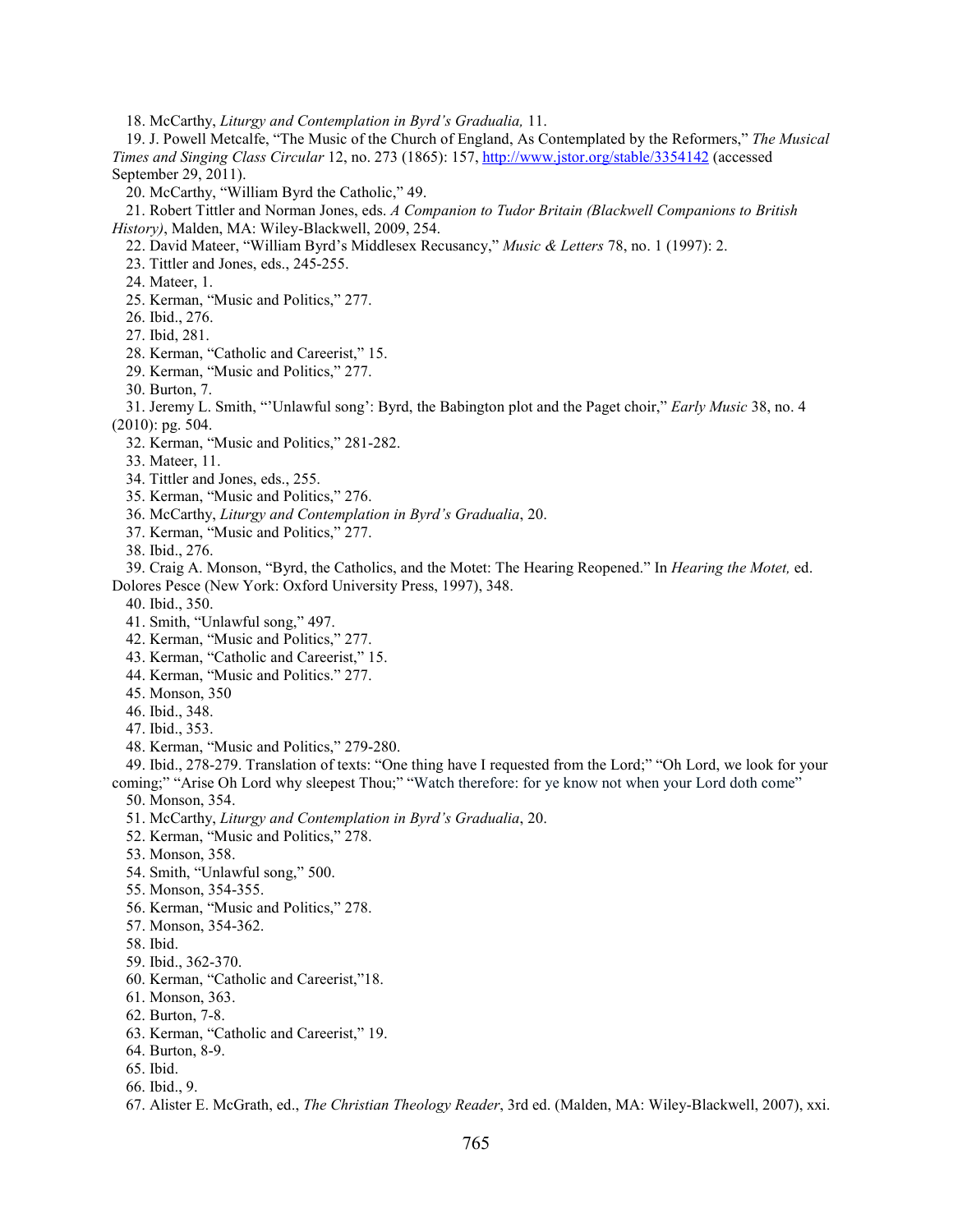18. McCarthy, *Liturgy and Contemplation in Byrd's Gradualia,* 11.

19. J. Powell Metcalfe, "The Music of the Church of England, As Contemplated by the Reformers," *The Musical Times and Singing Class Circular* 12, no. 273 (1865): 157, http://www.jstor.org/stable/3354142 (accessed September 29, 2011).

20. McCarthy, "William Byrd the Catholic," 49.

21. Robert Tittler and Norman Jones, eds. *A Companion to Tudor Britain (Blackwell Companions to British History)*, Malden, MA: Wiley-Blackwell, 2009, 254.

22. David Mateer, "William Byrd's Middlesex Recusancy," *Music & Letters* 78, no. 1 (1997): 2.

- 23. Tittler and Jones, eds., 245-255.
- 24. Mateer, 1.

25. Kerman, "Music and Politics," 277.

- 26. Ibid., 276.
- 27. Ibid, 281.

28. Kerman, "Catholic and Careerist," 15.

- 29. Kerman, "Music and Politics," 277.
- 30. Burton, 7.

31. Jeremy L. Smith, "'Unlawful song': Byrd, the Babington plot and the Paget choir," *Early Music* 38, no. 4 (2010): pg. 504.

- 32. Kerman, "Music and Politics," 281-282.
- 33. Mateer, 11.
- 34. Tittler and Jones, eds., 255.
- 35. Kerman, "Music and Politics," 276.
- 36. McCarthy, *Liturgy and Contemplation in Byrd's Gradualia*, 20.
- 37. Kerman, "Music and Politics," 277.
- 38. Ibid., 276.

39. Craig A. Monson, "Byrd, the Catholics, and the Motet: The Hearing Reopened." In *Hearing the Motet,* ed. Dolores Pesce (New York: Oxford University Press, 1997), 348.

40. Ibid., 350.

- 41. Smith, "Unlawful song," 497.
- 42. Kerman, "Music and Politics," 277.
- 43. Kerman, "Catholic and Careerist," 15.
- 44. Kerman, "Music and Politics." 277.
- 45. Monson, 350
- 46. Ibid., 348.
- 47. Ibid., 353.
- 48. Kerman, "Music and Politics," 279-280.

49. Ibid., 278-279. Translation of texts: "One thing have I requested from the Lord;" "Oh Lord, we look for your coming;" "Arise Oh Lord why sleepest Thou;" "Watch therefore: for ye know not when your Lord doth come"

- 50. Monson, 354.
- 51. McCarthy, *Liturgy and Contemplation in Byrd's Gradualia*, 20.
- 52. Kerman, "Music and Politics," 278.
- 53. Monson, 358.
- 54. Smith, "Unlawful song," 500.
- 55. Monson, 354-355.
- 56. Kerman, "Music and Politics," 278.
- 57. Monson, 354-362.
- 58. Ibid.
- 59. Ibid., 362-370.
- 60. Kerman, "Catholic and Careerist,"18.
- 61. Monson, 363.
- 62. Burton, 7-8.
- 63. Kerman, "Catholic and Careerist," 19.
- 64. Burton, 8-9.
- 65. Ibid.
- 66. Ibid., 9.
- 67. Alister E. McGrath, ed., *The Christian Theology Reader*, 3rd ed. (Malden, MA: Wiley-Blackwell, 2007), xxi.